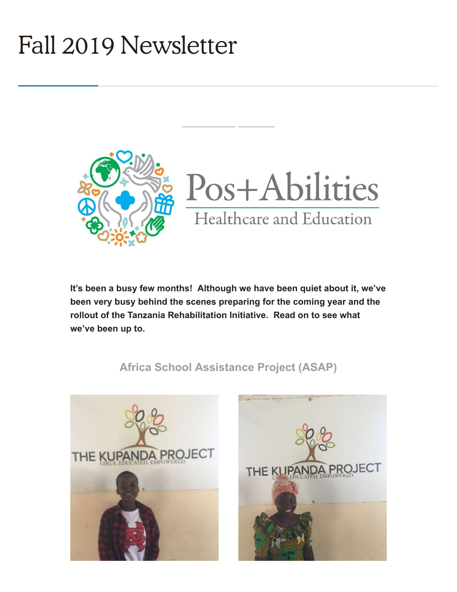# Fall 2019 Newsletter



**It's been a busy few months! Although we have been quiet about it, we've been very busy behind the scenes preparing for the coming year and the rollout of the Tanzania Rehabilitation Initiative. Read on to see what we've been up to.**

## **Africa School Assistance Project (ASAP)**



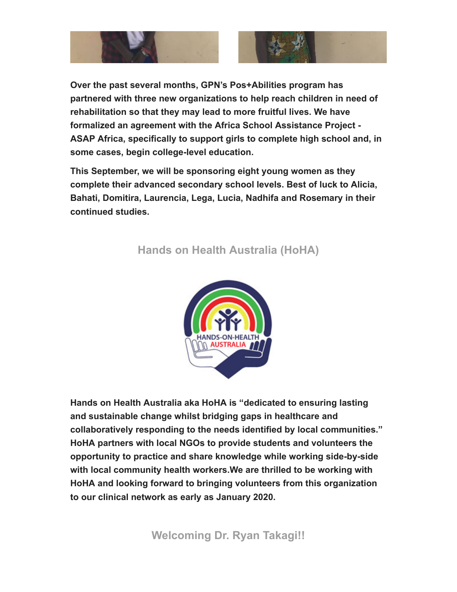

**Over the past several months, GPN's Pos+Abilities program has partnered with three new organizations to help reach children in need of rehabilitation so that they may lead to more fruitful lives. We have formalized an agreement with the Africa School Assistance Project - ASAP Africa, specifically to support girls to complete high school and, in some cases, begin college-level education.**

**This September, we will be sponsoring eight young women as they complete their advanced secondary school levels. Best of luck to Alicia, Bahati, Domitira, Laurencia, Lega, Lucia, Nadhifa and Rosemary in their continued studies.** 

#### **Hands on Health Australia (HoHA)**



**Hands on Health Australia aka HoHA is "dedicated to ensuring lasting and sustainable change whilst bridging gaps in healthcare and collaboratively responding to the needs identified by local communities." HoHA partners with local NGOs to provide students and volunteers the opportunity to practice and share knowledge while working side-by-side with local community health workers.We are thrilled to be working with HoHA and looking forward to bringing volunteers from this organization to our clinical network as early as January 2020.** 

**Welcoming Dr. Ryan Takagi!!**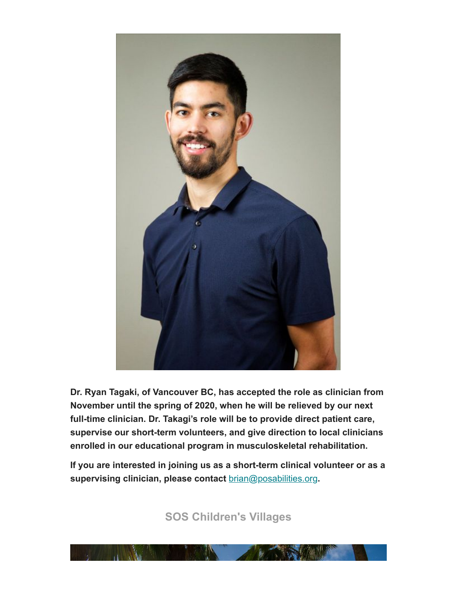

**Dr. Ryan Tagaki, of Vancouver BC, has accepted the role as clinician from November until the spring of 2020, when he will be relieved by our next full-time clinician. Dr. Takagi's role will be to provide direct patient care, supervise our short-term volunteers, and give direction to local clinicians enrolled in our educational program in musculoskeletal rehabilitation.** 

**If you are interested in joining us as a short-term clinical volunteer or as a supervising clinician, please contact** [brian@posabilities.org](mailto:brian@posabilities.org)**.** 

**SOS Children's Villages**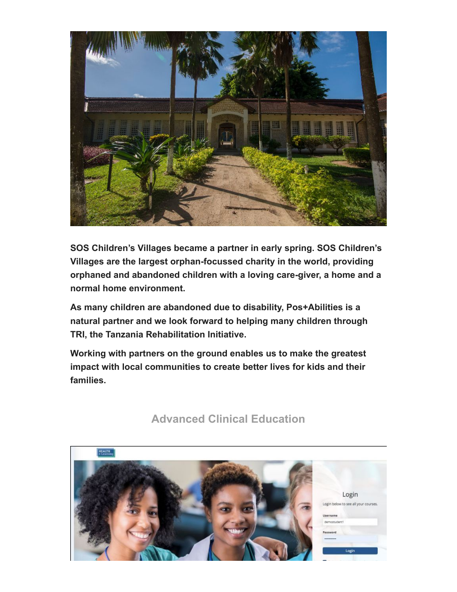

**SOS Children's Villages became a partner in early spring. SOS Children's Villages are the largest orphan-focussed charity in the world, providing orphaned and abandoned children with a loving care-giver, a home and a normal home environment.** 

**As many children are abandoned due to disability, Pos+Abilities is a natural partner and we look forward to helping many children through TRI, the Tanzania Rehabilitation Initiative.**

**Working with partners on the ground enables us to make the greatest impact with local communities to create better lives for kids and their families.**



### **Advanced Clinical Education**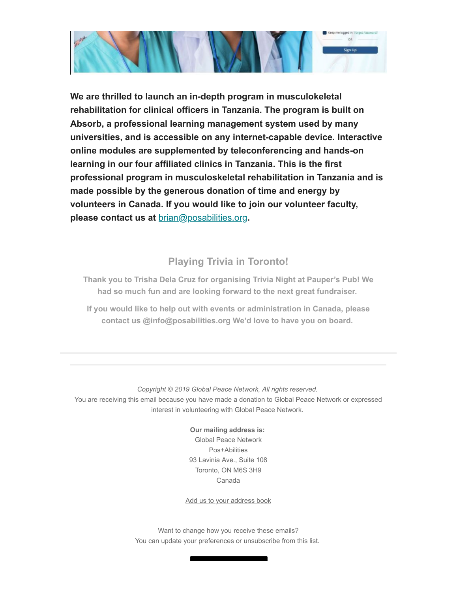

**We are thrilled to launch an in-depth program in musculokeletal rehabilitation for clinical officers in Tanzania. The program is built on Absorb, a professional learning management system used by many universities, and is accessible on any internet-capable device. Interactive online modules are supplemented by teleconferencing and hands-on learning in our four affiliated clinics in Tanzania. This is the first professional program in musculoskeletal rehabilitation in Tanzania and is made possible by the generous donation of time and energy by volunteers in Canada. If you would like to join our volunteer faculty, please contact us at** [brian@posabilities.org](mailto:brian@posabilities.org)**.** 

#### **Playing Trivia in Toronto!**

**Thank you to Trisha Dela Cruz for organising Trivia Night at Pauper's Pub! We had so much fun and are looking forward to the next great fundraiser.** 

**If you would like to help out with events or administration in Canada, please contact us @info@posabilities.org We'd love to have you on board.** 

*Copyright © 2019 Global Peace Network, All rights reserved.* You are receiving this email because you have made a donation to Global Peace Network or expressed interest in volunteering with Global Peace Network.

> **Our mailing address is:** Global Peace Network Pos+Abilities 93 Lavinia Ave., Suite 108 Toronto, ON M6S 3H9 Canada

[Add us to your address book](https://globalpeacenetwork.us13.list-manage.com/vcard?u=5d7a4be2abc662c44b2fb6371&id=ba824d5290)

Want to change how you receive these emails? You can [update your preferences](https://globalpeacenetwork.us13.list-manage.com/profile?u=5d7a4be2abc662c44b2fb6371&id=ba824d5290&e=[UNIQID]) or [unsubscribe from this list](https://globalpeacenetwork.us13.list-manage.com/unsubscribe?u=5d7a4be2abc662c44b2fb6371&id=ba824d5290&e=[UNIQID]&c=ab026ce358).